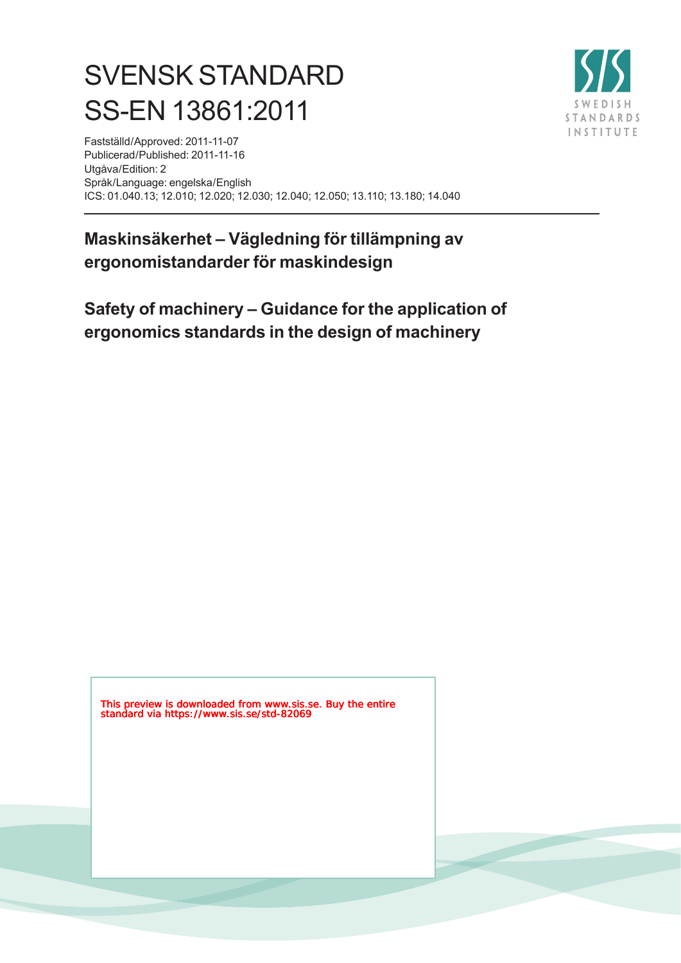# SVENSK STANDARD SS-EN 13861:2011



Fastställd/Approved: 2011-11-07 Publicerad/Published: 2011-11-16 Utgåva/Edition: 2 Språk/Language: engelska/English ICS: 01.040.13; 12.010; 12.020; 12.030; 12.040; 12.050; 13.110; 13.180; 14.040

**Maskinsäkerhet – Vägledning för tillämpning av ergonomistandarder för maskindesign**

**Safety of machinery – Guidance for the application of ergonomics standards in the design of machinery**

This preview is downloaded from www.sis.se. Buy the entire standard via https://www.sis.se/std-82069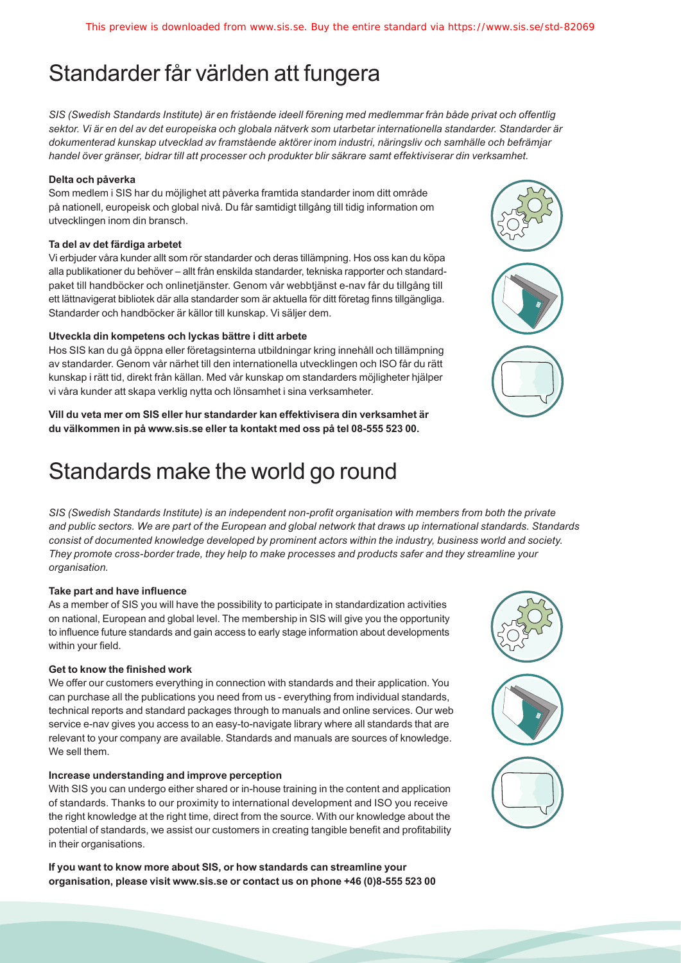## Standarder får världen att fungera

*SIS (Swedish Standards Institute) är en fristående ideell förening med medlemmar från både privat och offentlig sektor. Vi är en del av det europeiska och globala nätverk som utarbetar internationella standarder. Standarder är dokumenterad kunskap utvecklad av framstående aktörer inom industri, näringsliv och samhälle och befrämjar handel över gränser, bidrar till att processer och produkter blir säkrare samt effektiviserar din verksamhet.* 

#### **Delta och påverka**

Som medlem i SIS har du möjlighet att påverka framtida standarder inom ditt område på nationell, europeisk och global nivå. Du får samtidigt tillgång till tidig information om utvecklingen inom din bransch.

### **Ta del av det färdiga arbetet**

Vi erbjuder våra kunder allt som rör standarder och deras tillämpning. Hos oss kan du köpa alla publikationer du behöver – allt från enskilda standarder, tekniska rapporter och standardpaket till handböcker och onlinetjänster. Genom vår webbtjänst e-nav får du tillgång till ett lättnavigerat bibliotek där alla standarder som är aktuella för ditt företag finns tillgängliga. Standarder och handböcker är källor till kunskap. Vi säljer dem.

### **Utveckla din kompetens och lyckas bättre i ditt arbete**

Hos SIS kan du gå öppna eller företagsinterna utbildningar kring innehåll och tillämpning av standarder. Genom vår närhet till den internationella utvecklingen och ISO får du rätt kunskap i rätt tid, direkt från källan. Med vår kunskap om standarders möjligheter hjälper vi våra kunder att skapa verklig nytta och lönsamhet i sina verksamheter.

**Vill du veta mer om SIS eller hur standarder kan effektivisera din verksamhet är du välkommen in på www.sis.se eller ta kontakt med oss på tel 08-555 523 00.**

# Standards make the world go round

*SIS (Swedish Standards Institute) is an independent non-profit organisation with members from both the private and public sectors. We are part of the European and global network that draws up international standards. Standards consist of documented knowledge developed by prominent actors within the industry, business world and society. They promote cross-border trade, they help to make processes and products safer and they streamline your organisation.*

### **Take part and have influence**

As a member of SIS you will have the possibility to participate in standardization activities on national, European and global level. The membership in SIS will give you the opportunity to influence future standards and gain access to early stage information about developments within your field.

#### **Get to know the finished work**

We offer our customers everything in connection with standards and their application. You can purchase all the publications you need from us - everything from individual standards, technical reports and standard packages through to manuals and online services. Our web service e-nav gives you access to an easy-to-navigate library where all standards that are relevant to your company are available. Standards and manuals are sources of knowledge. We sell them.

#### **Increase understanding and improve perception**

With SIS you can undergo either shared or in-house training in the content and application of standards. Thanks to our proximity to international development and ISO you receive the right knowledge at the right time, direct from the source. With our knowledge about the potential of standards, we assist our customers in creating tangible benefit and profitability in their organisations.

**If you want to know more about SIS, or how standards can streamline your organisation, please visit www.sis.se or contact us on phone +46 (0)8-555 523 00**



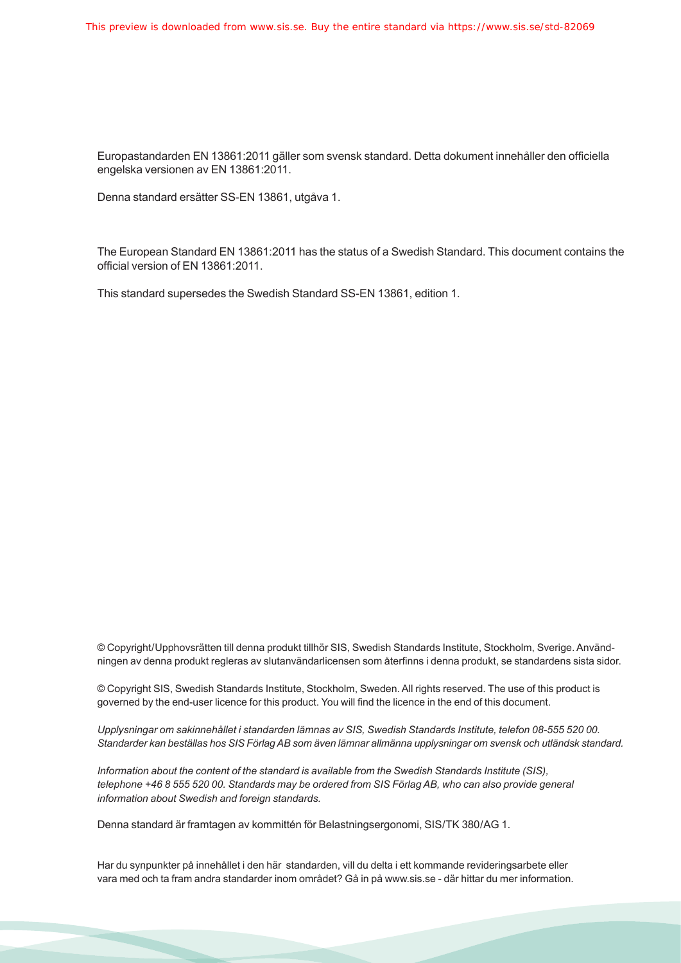Europastandarden EN 13861:2011 gäller som svensk standard. Detta dokument innehåller den officiella engelska versionen av EN 13861:2011.

Denna standard ersätter SS-EN 13861, utgåva 1.

The European Standard EN 13861:2011 has the status of a Swedish Standard. This document contains the official version of EN 13861:2011.

This standard supersedes the Swedish Standard SS-EN 13861, edition 1.

© Copyright/Upphovsrätten till denna produkt tillhör SIS, Swedish Standards Institute, Stockholm, Sverige. Användningen av denna produkt regleras av slutanvändarlicensen som återfinns i denna produkt, se standardens sista sidor.

© Copyright SIS, Swedish Standards Institute, Stockholm, Sweden. All rights reserved. The use of this product is governed by the end-user licence for this product. You will find the licence in the end of this document.

*Upplysningar om sakinnehållet i standarden lämnas av SIS, Swedish Standards Institute, telefon 08-555 520 00. Standarder kan beställas hos SIS Förlag AB som även lämnar allmänna upplysningar om svensk och utländsk standard.*

*Information about the content of the standard is available from the Swedish Standards Institute (SIS), telephone +46 8 555 520 00. Standards may be ordered from SIS Förlag AB, who can also provide general information about Swedish and foreign standards.*

Denna standard är framtagen av kommittén för Belastningsergonomi, SIS/TK 380/AG 1.

Har du synpunkter på innehållet i den här standarden, vill du delta i ett kommande revideringsarbete eller vara med och ta fram andra standarder inom området? Gå in på www.sis.se - där hittar du mer information.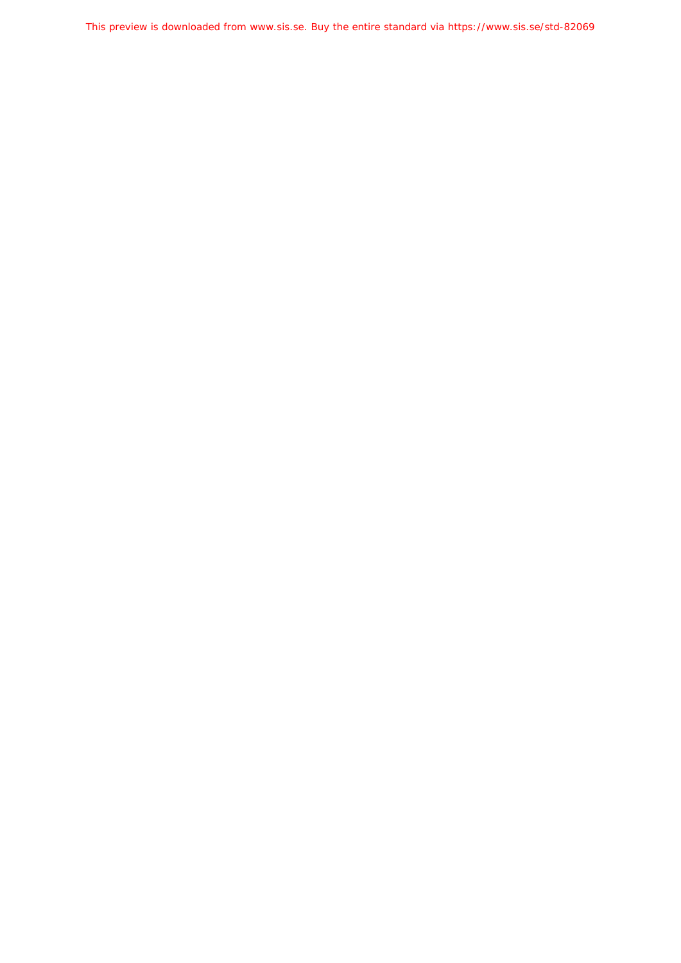This preview is downloaded from www.sis.se. Buy the entire standard via https://www.sis.se/std-82069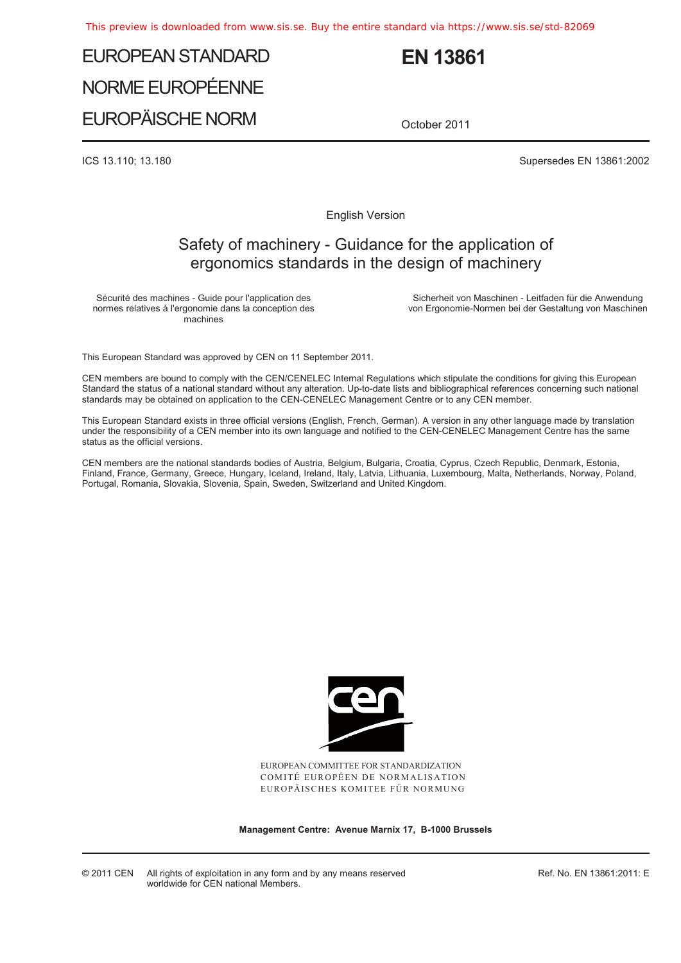# EUROPEAN STANDARD NORME EUROPÉENNE

## **EN 13861**

EUROPÄISCHE NORM

October 2011

ICS 13.110; 13.180 Supersedes EN 13861:2002

English Version

## Safety of machinery - Guidance for the application of ergonomics standards in the design of machinery

Sécurité des machines - Guide pour l'application des normes relatives à l'ergonomie dans la conception des machines

 Sicherheit von Maschinen - Leitfaden für die Anwendung von Ergonomie-Normen bei der Gestaltung von Maschinen

This European Standard was approved by CEN on 11 September 2011.

CEN members are bound to comply with the CEN/CENELEC Internal Regulations which stipulate the conditions for giving this European Standard the status of a national standard without any alteration. Up-to-date lists and bibliographical references concerning such national standards may be obtained on application to the CEN-CENELEC Management Centre or to any CEN member.

This European Standard exists in three official versions (English, French, German). A version in any other language made by translation under the responsibility of a CEN member into its own language and notified to the CEN-CENELEC Management Centre has the same status as the official versions.

CEN members are the national standards bodies of Austria, Belgium, Bulgaria, Croatia, Cyprus, Czech Republic, Denmark, Estonia, Finland, France, Germany, Greece, Hungary, Iceland, Ireland, Italy, Latvia, Lithuania, Luxembourg, Malta, Netherlands, Norway, Poland, Portugal, Romania, Slovakia, Slovenia, Spain, Sweden, Switzerland and United Kingdom.



EUROPEAN COMMITTEE FOR STANDARDIZATION COMITÉ EUROPÉEN DE NORMALISATION EUROPÄISCHES KOMITEE FÜR NORMUNG

**Management Centre: Avenue Marnix 17, B-1000 Brussels**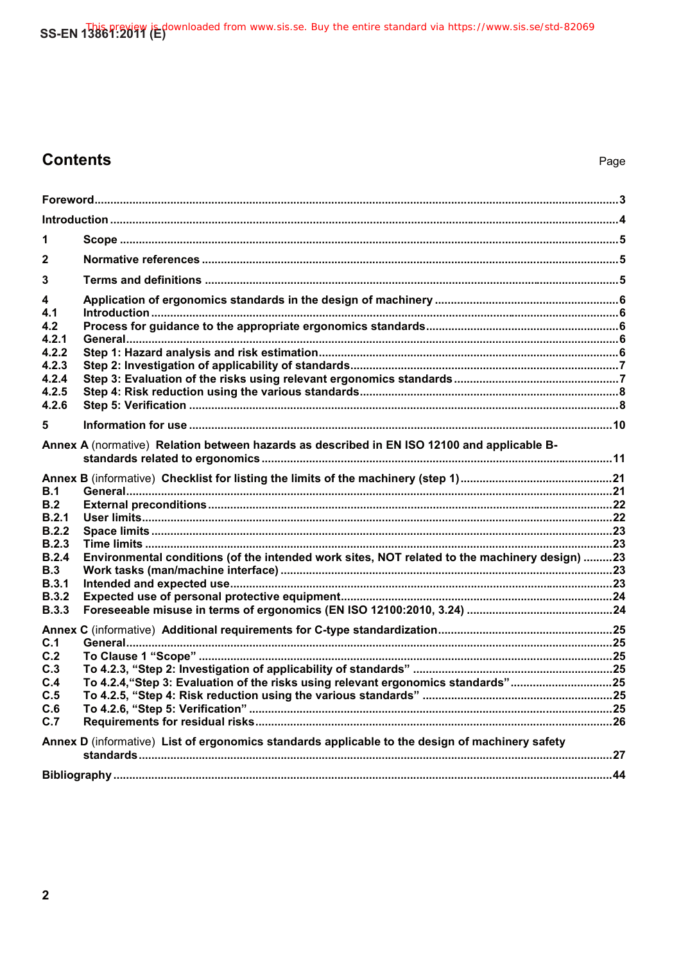SS-EN 13861:2011 (E) SS-EN 13861:2011 (E)

## **Contents**

| 1                                                                                                            |                                                                                               |  |  |
|--------------------------------------------------------------------------------------------------------------|-----------------------------------------------------------------------------------------------|--|--|
| $\mathbf 2$                                                                                                  |                                                                                               |  |  |
| 3                                                                                                            |                                                                                               |  |  |
| 4<br>4.1<br>4.2<br>4.2.1                                                                                     |                                                                                               |  |  |
| 4.2.2<br>4.2.3<br>4.2.4<br>4.2.5                                                                             |                                                                                               |  |  |
| 4.2.6                                                                                                        |                                                                                               |  |  |
| 5                                                                                                            | Annex A (normative) Relation between hazards as described in EN ISO 12100 and applicable B-   |  |  |
| <b>B.1</b><br>B.2<br>B.2.1<br>B.2.2<br>B.2.3<br>B.2.4<br><b>B.3</b><br>B.3.1<br><b>B.3.2</b><br><b>B.3.3</b> |                                                                                               |  |  |
|                                                                                                              | Environmental conditions (of the intended work sites, NOT related to the machinery design) 23 |  |  |
|                                                                                                              |                                                                                               |  |  |
| C.1<br>C.2                                                                                                   |                                                                                               |  |  |
| C.3<br>C.4<br>C.5                                                                                            | To 4.2.4, "Step 3: Evaluation of the risks using relevant ergonomics standards"25             |  |  |
| C.6<br>C.7                                                                                                   |                                                                                               |  |  |
| Annex D (informative) List of ergonomics standards applicable to the design of machinery safety              |                                                                                               |  |  |
|                                                                                                              |                                                                                               |  |  |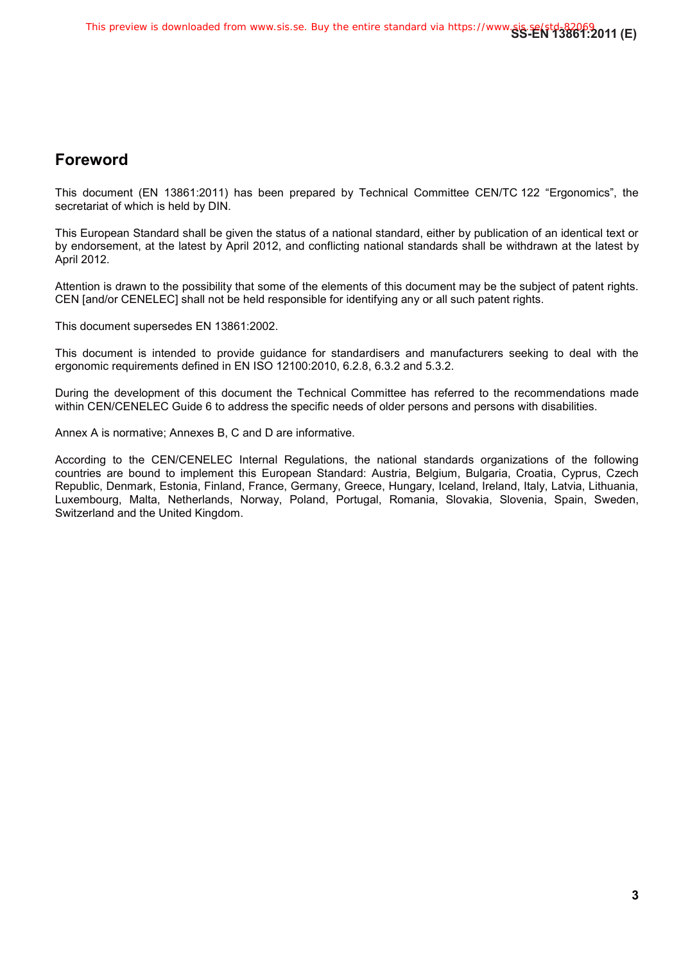## **Foreword**

This document (EN 13861:2011) has been prepared by Technical Committee CEN/TC 122 "Ergonomics", the secretariat of which is held by DIN.

This European Standard shall be given the status of a national standard, either by publication of an identical text or by endorsement, at the latest by April 2012, and conflicting national standards shall be withdrawn at the latest by April 2012.

Attention is drawn to the possibility that some of the elements of this document may be the subject of patent rights. CEN [and/or CENELEC] shall not be held responsible for identifying any or all such patent rights.

This document supersedes EN 13861:2002.

This document is intended to provide guidance for standardisers and manufacturers seeking to deal with the ergonomic requirements defined in EN ISO 12100:2010, 6.2.8, 6.3.2 and 5.3.2.

During the development of this document the Technical Committee has referred to the recommendations made within CEN/CENELEC Guide 6 to address the specific needs of older persons and persons with disabilities.

Annex A is normative; Annexes B, C and D are informative.

According to the CEN/CENELEC Internal Regulations, the national standards organizations of the following countries are bound to implement this European Standard: Austria, Belgium, Bulgaria, Croatia, Cyprus, Czech Republic, Denmark, Estonia, Finland, France, Germany, Greece, Hungary, Iceland, Ireland, Italy, Latvia, Lithuania, Luxembourg, Malta, Netherlands, Norway, Poland, Portugal, Romania, Slovakia, Slovenia, Spain, Sweden, Switzerland and the United Kingdom.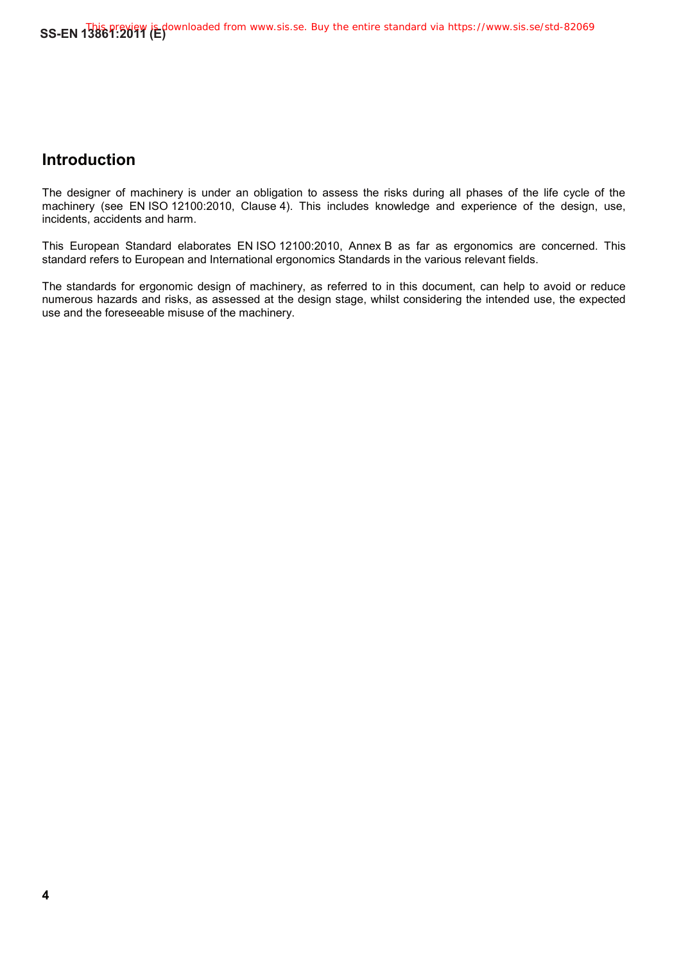## **Introduction**

The designer of machinery is under an obligation to assess the risks during all phases of the life cycle of the machinery (see EN ISO 12100:2010, Clause 4). This includes knowledge and experience of the design, use, incidents, accidents and harm.

This European Standard elaborates EN ISO 12100:2010, Annex B as far as ergonomics are concerned. This standard refers to European and International ergonomics Standards in the various relevant fields.

The standards for ergonomic design of machinery, as referred to in this document, can help to avoid or reduce numerous hazards and risks, as assessed at the design stage, whilst considering the intended use, the expected use and the foreseeable misuse of the machinery.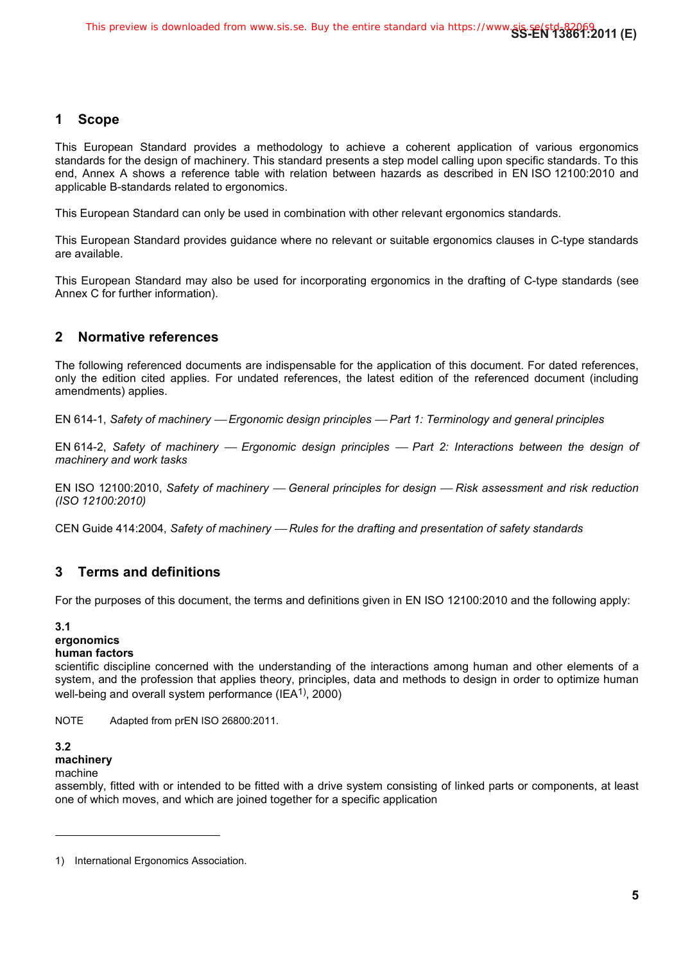## **1 Scope**

This European Standard provides a methodology to achieve a coherent application of various ergonomics standards for the design of machinery. This standard presents a step model calling upon specific standards. To this end, Annex A shows a reference table with relation between hazards as described in EN ISO 12100:2010 and applicable B-standards related to ergonomics.

This European Standard can only be used in combination with other relevant ergonomics standards.

This European Standard provides guidance where no relevant or suitable ergonomics clauses in C-type standards are available.

This European Standard may also be used for incorporating ergonomics in the drafting of C-type standards (see Annex C for further information).

## **2 Normative references**

The following referenced documents are indispensable for the application of this document. For dated references, only the edition cited applies. For undated references, the latest edition of the referenced document (including amendments) applies.

EN 614-1, *Safety of machinery Ergonomic design principles Part 1: Terminology and general principles*

EN 614-2, *Safety of machinery Ergonomic design principles Part 2: Interactions between the design of machinery and work tasks*

EN ISO 12100:2010, *Safety of machinery General principles for design Risk assessment and risk reduction (ISO 12100:2010)* 

CEN Guide 414:2004, *Safety of machinery Rules for the drafting and presentation of safety standards*

## **3 Terms and definitions**

For the purposes of this document, the terms and definitions given in EN ISO 12100:2010 and the following apply:

## **3.1**

## **ergonomics**

## **human factors**

scientific discipline concerned with the understanding of the interactions among human and other elements of a system, and the profession that applies theory, principles, data and methods to design in order to optimize human well-being and overall system performance  $(IEA<sup>1</sup>)$ , 2000)

NOTE Adapted from prEN ISO 26800:2011.

### **3.2**

j

**machinery** 

machine

assembly, fitted with or intended to be fitted with a drive system consisting of linked parts or components, at least one of which moves, and which are joined together for a specific application

<sup>1)</sup> International Ergonomics Association.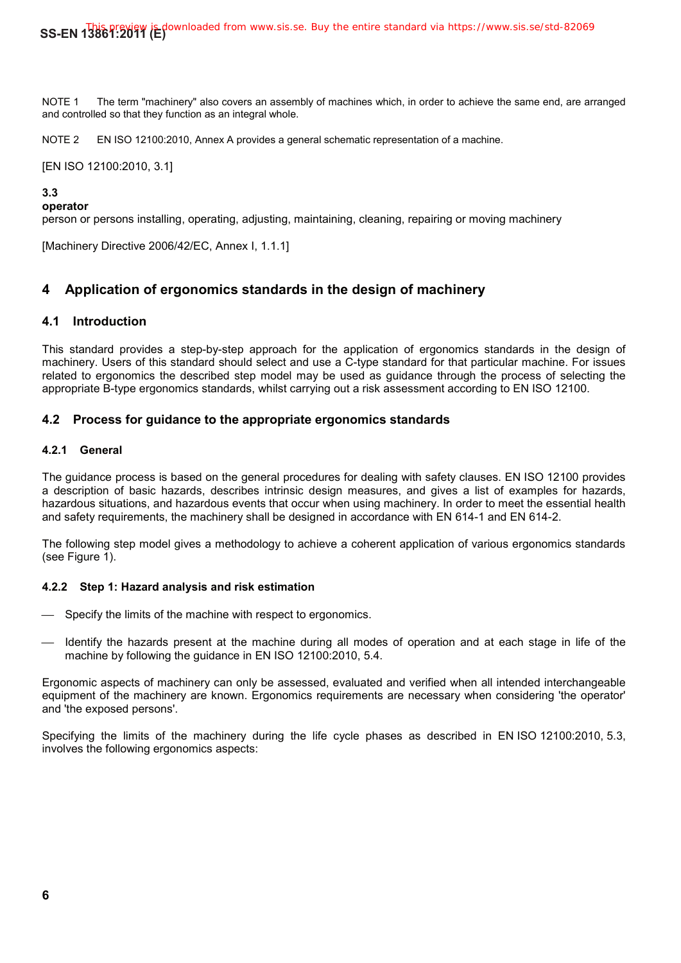NOTE 1 The term "machinery" also covers an assembly of machines which, in order to achieve the same end, are arranged and controlled so that they function as an integral whole.

NOTE 2 EN ISO 12100:2010, Annex A provides a general schematic representation of a machine.

[EN ISO 12100:2010, 3.1]

#### **3.3**

**operator** 

person or persons installing, operating, adjusting, maintaining, cleaning, repairing or moving machinery

[Machinery Directive 2006/42/EC, Annex I, 1.1.1]

## **4 Application of ergonomics standards in the design of machinery**

### **4.1 Introduction**

This standard provides a step-by-step approach for the application of ergonomics standards in the design of machinery. Users of this standard should select and use a C-type standard for that particular machine. For issues related to ergonomics the described step model may be used as guidance through the process of selecting the appropriate B-type ergonomics standards, whilst carrying out a risk assessment according to EN ISO 12100.

## **4.2 Process for guidance to the appropriate ergonomics standards**

### **4.2.1 General**

The guidance process is based on the general procedures for dealing with safety clauses. EN ISO 12100 provides a description of basic hazards, describes intrinsic design measures, and gives a list of examples for hazards, hazardous situations, and hazardous events that occur when using machinery. In order to meet the essential health and safety requirements, the machinery shall be designed in accordance with EN 614-1 and EN 614-2.

The following step model gives a methodology to achieve a coherent application of various ergonomics standards (see Figure 1).

### **4.2.2 Step 1: Hazard analysis and risk estimation**

- Specify the limits of the machine with respect to ergonomics.
- Identify the hazards present at the machine during all modes of operation and at each stage in life of the machine by following the guidance in EN ISO 12100:2010, 5.4.

Ergonomic aspects of machinery can only be assessed, evaluated and verified when all intended interchangeable equipment of the machinery are known. Ergonomics requirements are necessary when considering 'the operator' and 'the exposed persons'.

Specifying the limits of the machinery during the life cycle phases as described in EN ISO 12100:2010, 5.3, involves the following ergonomics aspects: